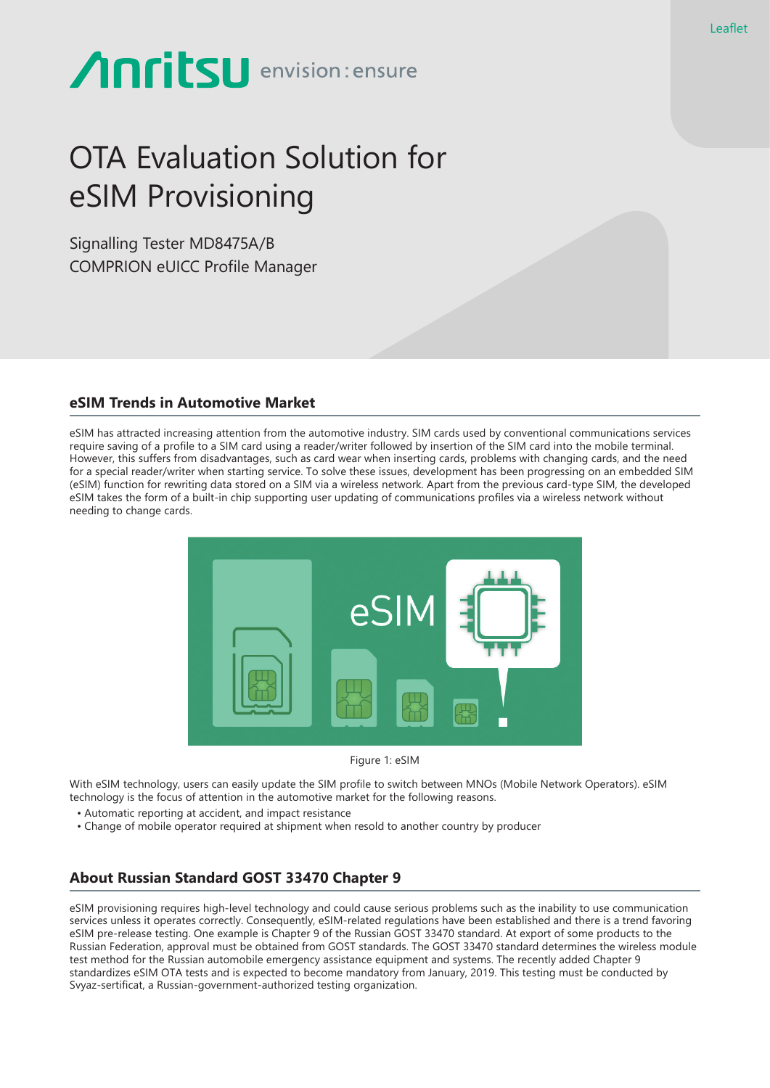# **Anritsu** envision: ensure

# OTA Evaluation Solution for eSIM Provisioning

Signalling Tester MD8475A/B COMPRION eUICC Profile Manager

#### **eSIM Trends in Automotive Market**

eSIM has attracted increasing attention from the automotive industry. SIM cards used by conventional communications services require saving of a profile to a SIM card using a reader/writer followed by insertion of the SIM card into the mobile terminal. However, this suffers from disadvantages, such as card wear when inserting cards, problems with changing cards, and the need for a special reader/writer when starting service. To solve these issues, development has been progressing on an embedded SIM (eSIM) function for rewriting data stored on a SIM via a wireless network. Apart from the previous card-type SIM, the developed eSIM takes the form of a built-in chip supporting user updating of communications profiles via a wireless network without needing to change cards.



Figure 1: eSIM

With eSIM technology, users can easily update the SIM profile to switch between MNOs (Mobile Network Operators). eSIM technology is the focus of attention in the automotive market for the following reasons.

- Automatic reporting at accident, and impact resistance
- Change of mobile operator required at shipment when resold to another country by producer

# **About Russian Standard GOST 33470 Chapter 9**

eSIM provisioning requires high-level technology and could cause serious problems such as the inability to use communication services unless it operates correctly. Consequently, eSIM-related regulations have been established and there is a trend favoring eSIM pre-release testing. One example is Chapter 9 of the Russian GOST 33470 standard. At export of some products to the Russian Federation, approval must be obtained from GOST standards. The GOST 33470 standard determines the wireless module test method for the Russian automobile emergency assistance equipment and systems. The recently added Chapter 9 standardizes eSIM OTA tests and is expected to become mandatory from January, 2019. This testing must be conducted by Svyaz-sertificat, a Russian-government-authorized testing organization.